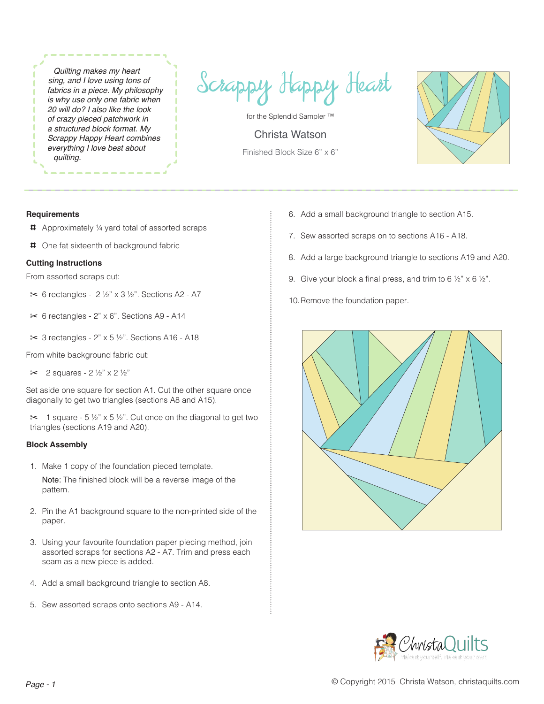*Quilting makes my heart sing, and I love using tons of fabrics in a piece. My philosophy is why use only one fabric when 20 will do? I also like the look of crazy pieced patchwork in a structured block format. My Scrappy Happy Heart combines everything I love best about quilting.*

Scrappy Happy Heart

for the Splendid Sampler ™

Christa Watson Finished Block Size 6" x 6"



## **Requirements**

- 4 Approximately ¼ yard total of assorted scraps
- 4 One fat sixteenth of background fabric

## **Cutting Instructions**

From assorted scraps cut:

- ✂ 6 rectangles 2 ½" x 3 ½". Sections A2 A7
- ✂ 6 rectangles 2" x 6". Sections A9 A14
- ✂ 3 rectangles 2" x 5 ½". Sections A16 A18

From white background fabric cut:

 $\approx$  2 squares - 2 ½" x 2 ½"

Set aside one square for section A1. Cut the other square once diagonally to get two triangles (sections A8 and A15).

 $\approx$  1 square - 5  $\frac{1}{2}$ " x 5  $\frac{1}{2}$ ". Cut once on the diagonal to get two triangles (sections A19 and A20).

## **Block Assembly**

- 1. Make 1 copy of the foundation pieced template. Note: The finished block will be a reverse image of the pattern.
- 2. Pin the A1 background square to the non-printed side of the paper.
- 3. Using your favourite foundation paper piecing method, join assorted scraps for sections A2 - A7. Trim and press each seam as a new piece is added.
- 4. Add a small background triangle to section A8.
- 5. Sew assorted scraps onto sections A9 A14.
- 6. Add a small background triangle to section A15.
- 7. Sew assorted scraps on to sections A16 A18.
- 8. Add a large background triangle to sections A19 and A20.
- 9. Give your block a final press, and trim to 6  $\frac{1}{2}$ " x 6  $\frac{1}{2}$ ".
- 10.Remove the foundation paper.